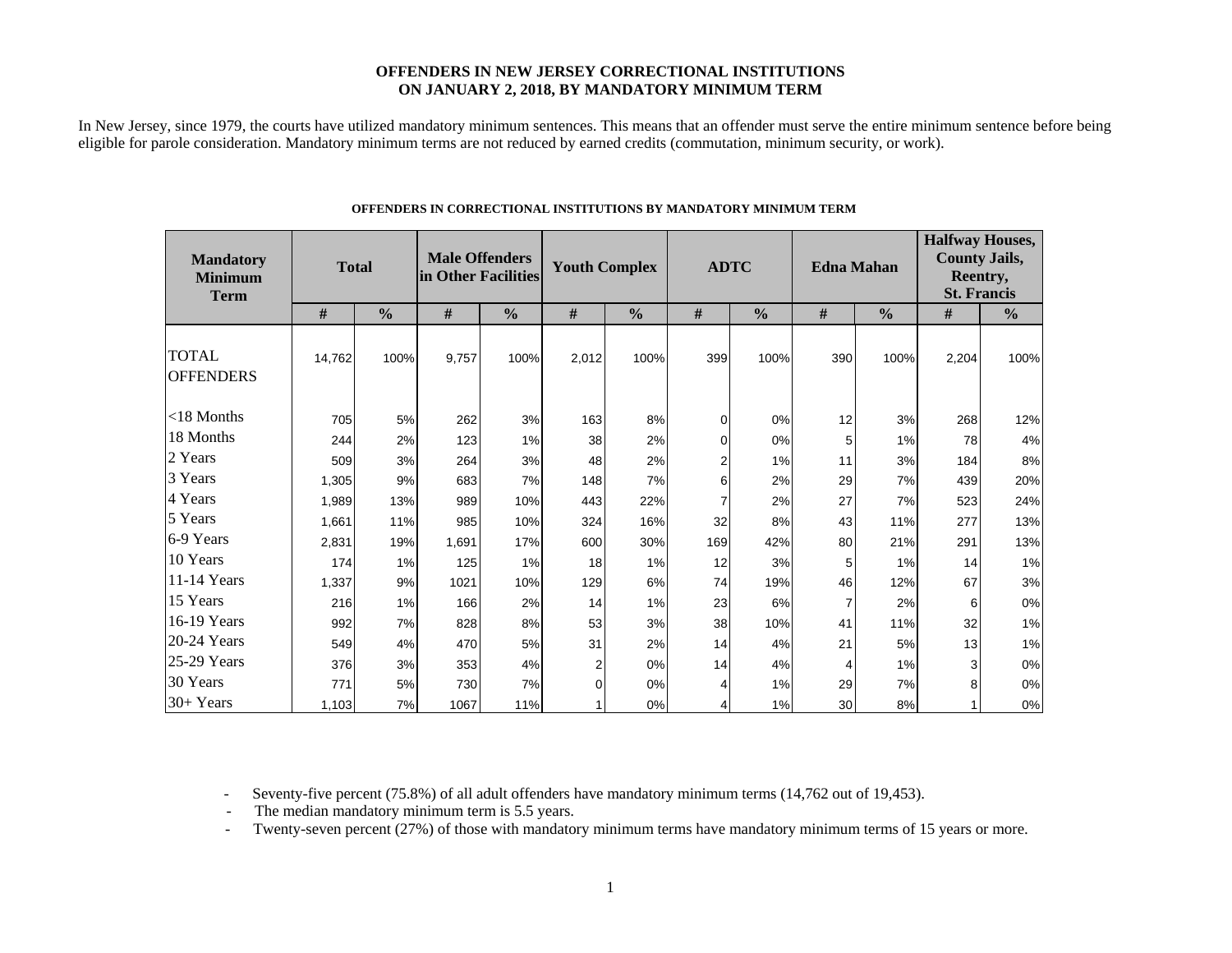### **OFFENDERS IN NEW JERSEY CORRECTIONAL INSTITUTIONS ON JANUARY 2, 2018, BY MANDATORY MINIMUM TERM**

In New Jersey, since 1979, the courts have utilized mandatory minimum sentences. This means that an offender must serve the entire minimum sentence before being eligible for parole consideration. Mandatory minimum terms are not reduced by earned credits (commutation, minimum security, or work).

| <b>Mandatory</b><br><b>Minimum</b><br><b>Term</b> | <b>Total</b> |               | <b>Male Offenders</b><br>in Other Facilities |               | <b>Youth Complex</b> |               | <b>ADTC</b>    |               |     | <b>Edna Mahan</b> | <b>Halfway Houses,</b><br><b>County Jails,</b><br>Reentry,<br><b>St. Francis</b> |               |  |
|---------------------------------------------------|--------------|---------------|----------------------------------------------|---------------|----------------------|---------------|----------------|---------------|-----|-------------------|----------------------------------------------------------------------------------|---------------|--|
|                                                   | #            | $\frac{0}{0}$ | #                                            | $\frac{0}{0}$ | $\#$                 | $\frac{0}{0}$ | #              | $\frac{0}{0}$ | #   | $\frac{0}{0}$     | #                                                                                | $\frac{0}{0}$ |  |
| <b>TOTAL</b><br><b>OFFENDERS</b>                  | 14,762       | 100%          | 9,757                                        | 100%          | 2,012                | 100%          | 399            | 100%          | 390 | 100%              | 2,204                                                                            | 100%          |  |
| $<$ 18 Months                                     | 705          | 5%            | 262                                          | 3%            | 163                  | 8%            | 0              | 0%            | 12  | 3%                | 268                                                                              | 12%           |  |
| 18 Months                                         | 244          | 2%            | 123                                          | 1%            | 38                   | 2%            | 0              | 0%            | 5   | 1%                | 78                                                                               | $4\%$         |  |
| 2 Years                                           | 509          | 3%            | 264                                          | 3%            | 48                   | 2%            | $\overline{2}$ | 1%            | 11  | 3%                | 184                                                                              | $8\%$         |  |
| 3 Years                                           | 1,305        | 9%            | 683                                          | 7%            | 148                  | 7%            | 6              | 2%            | 29  | 7%                | 439                                                                              | 20%           |  |
| 4 Years                                           | 1,989        | 13%           | 989                                          | 10%           | 443                  | 22%           |                | 2%            | 27  | 7%                | 523                                                                              | 24%           |  |
| 5 Years                                           | 1,661        | 11%           | 985                                          | 10%           | 324                  | 16%           | 32             | 8%            | 43  | 11%               | 277                                                                              | 13%           |  |
| 6-9 Years                                         | 2,831        | 19%           | 1,691                                        | 17%           | 600                  | 30%           | 169            | 42%           | 80  | 21%               | 291                                                                              | 13%           |  |
| 10 Years                                          | 174          | 1%            | 125                                          | 1%            | 18                   | 1%            | 12             | 3%            | 5   | 1%                | 14                                                                               | 1%            |  |
| 11-14 Years                                       | 1,337        | 9%            | 1021                                         | 10%           | 129                  | 6%            | 74             | 19%           | 46  | 12%               | 67                                                                               | $3%$          |  |
| 15 Years                                          | 216          | 1%            | 166                                          | 2%            | 14                   | 1%            | 23             | 6%            | 7   | 2%                | 6                                                                                | $0\%$         |  |
| 16-19 Years                                       | 992          | 7%            | 828                                          | 8%            | 53                   | 3%            | 38             | 10%           | 41  | 11%               | 32                                                                               | $1\%$         |  |
| 20-24 Years                                       | 549          | 4%            | 470                                          | 5%            | 31                   | 2%            | 14             | 4%            | 21  | 5%                | 13                                                                               | $1\%$         |  |
| 25-29 Years                                       | 376          | 3%            | 353                                          | 4%            | $\overline{2}$       | 0%            | 14             | 4%            | 4   | 1%                | 3                                                                                | $0\%$         |  |
| 30 Years                                          | 771          | 5%            | 730                                          | 7%            | $\Omega$             | 0%            | 4              | 1%            | 29  | 7%                | 8                                                                                | $0\%$         |  |
| 30+ Years                                         | 1,103        | 7%            | 1067                                         | 11%           |                      | 0%            | 4              | 1%            | 30  | 8%                |                                                                                  | $0\%$         |  |

#### **OFFENDERS IN CORRECTIONAL INSTITUTIONS BY MANDATORY MINIMUM TERM**

- Seventy-five percent (75.8%) of all adult offenders have mandatory minimum terms (14,762 out of 19,453).

- The median mandatory minimum term is 5.5 years.

-Twenty-seven percent (27%) of those with mandatory minimum terms have mandatory minimum terms of 15 years or more.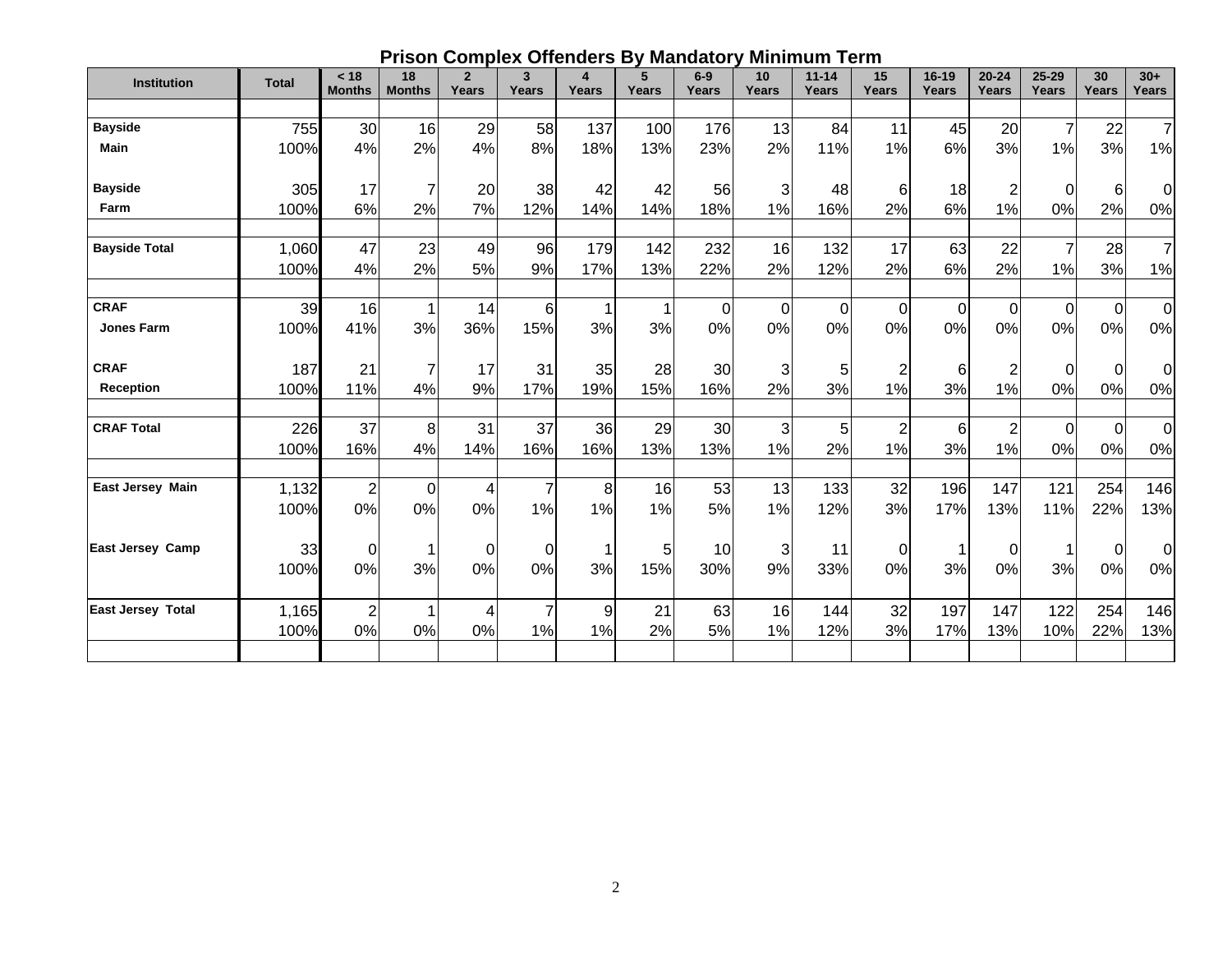## **Prison Complex Offenders By Mandatory Minimum Term**

| <b>Institution</b>       | <b>Total</b>  | < 18             | 18             | $\overline{2}$ | 3               | $\overline{\mathbf{4}}$ | 5            | $6-9$        | 10                   | $11 - 14$  | 15                            | 16-19            | $20 - 24$            | $25 - 29$            | 30             | $30+$                |
|--------------------------|---------------|------------------|----------------|----------------|-----------------|-------------------------|--------------|--------------|----------------------|------------|-------------------------------|------------------|----------------------|----------------------|----------------|----------------------|
|                          |               | <b>Months</b>    | <b>Months</b>  | Years          | Years           | Years                   | <b>Years</b> | <b>Years</b> | Years                | Years      | <b>Years</b>                  | <b>Years</b>     | Years                | Years                | <b>Years</b>   | <b>Years</b>         |
| <b>Bayside</b>           | 755           | 30               | 16             | 29             | 58              | 137                     | 100          | 176          | 13                   | 84         | 11                            | 45               | 20                   | $\overline{7}$       | 22             | $\overline{7}$       |
| <b>Main</b>              | 100%          | 4%               | 2%             | 4%             | 8%              | 18%                     | 13%          | 23%          | 2%                   | 11%        | 1%                            | 6%               | 3%                   | 1%                   | 3%             | 1%                   |
| <b>Bayside</b>           | 305           | 17               | $\overline{7}$ | 20             | 38              | 42                      | 42           | 56           | 3                    | 48         | 6                             | 18               | $\overline{c}$       | $\Omega$             | 6 <sub>1</sub> | 0                    |
| Farm                     | 100%          | 6%               | 2%             | 7%             | 12%             | 14%                     | 14%          | 18%          | 1%                   | 16%        | 2%                            | 6%               | 1%                   | 0%                   | 2%             | 0%                   |
| <b>Bayside Total</b>     | 1,060<br>100% | 47<br>4%         | 23<br>2%       | 49<br>5%       | <b>96</b><br>9% | 179<br>17%              | 142<br>13%   | 232<br>22%   | 16<br>2%             | 132<br>12% | 17<br>2%                      | 63<br>6%         | 22<br>2%             | $\overline{7}$<br>1% | 28<br>3%       | $\overline{7}$<br>1% |
| <b>CRAF</b>              | 39            | 16               | 1              | 14             | 6               |                         |              | 0            | $\overline{0}$       | 0          | $\mathbf 0$                   | $\boldsymbol{0}$ | 0                    | 0                    | $\mathbf 0$    | $\mathbf 0$          |
| <b>Jones Farm</b>        | 100%          | 41%              | 3%             | 36%            | 15%             | 3%                      | 3%           | 0%           | 0%                   | 0%         | 0%                            | 0%               | 0%                   | 0%                   | 0%             | $0\%$                |
| <b>CRAF</b>              | 187           | 21               | $\overline{7}$ | 17             | 31              | 35                      | 28           | 30           | 3                    | 5          | $\overline{\mathbf{c}}$       | 6                | $\overline{2}$       | 0                    | $\mathbf 0$    | $\mathbf 0$          |
| Reception                | 100%          | 11%              | 4%             | 9%             | 17%             | 19%                     | 15%          | 16%          | 2%                   | 3%         | 1%                            | 3%               | 1%                   | 0%                   | 0%             | 0%                   |
| <b>CRAF Total</b>        | 226<br>100%   | 37<br>16%        | 8<br>4%        | 31<br>14%      | 37<br>16%       | 36<br>16%               | 29<br>13%    | 30<br>13%    | $\overline{3}$<br>1% | 5<br>2%    | $\overline{\mathbf{c}}$<br>1% | 6<br>3%          | $\overline{2}$<br>1% | $\mathbf 0$<br>0%    | $\Omega$<br>0% | $\mathbf 0$<br>0%    |
| <b>East Jersey Main</b>  | 1,132         | $\boldsymbol{2}$ | $\overline{0}$ | 4              | $\overline{7}$  | 8                       | 16           | 53           | 13                   | 133        | 32                            | 196              | 147                  | 121                  | 254            | 146                  |
|                          | 100%          | 0%               | 0%             | 0%             | 1%              | 1%                      | 1%           | 5%           | 1%                   | 12%        | 3%                            | 17%              | 13%                  | 11%                  | 22%            | 13%                  |
| <b>East Jersey Camp</b>  | 33            | 0                |                | $\Omega$       | $\Omega$        |                         | 5            | 10           | 3                    | 11         | $\mathbf 0$                   | 1                | $\Omega$             |                      | $\mathbf 0$    | 0                    |
|                          | 100%          | 0%               | 3%             | 0%             | 0%              | 3%                      | 15%          | 30%          | 9%                   | 33%        | 0%                            | 3%               | 0%                   | 3%                   | 0%             | 0%                   |
| <b>East Jersey Total</b> | 1,165         | $\overline{2}$   |                | 4              | $\overline{7}$  | 9                       | 21           | 63           | 16                   | 144        | 32                            | 197              | 147                  | 122                  | 254            | 146                  |
|                          | 100%          | 0%               | 0%             | 0%             | 1%              | 1%                      | 2%           | 5%           | 1%                   | 12%        | 3%                            | 17%              | 13%                  | 10%                  | 22%            | 13%                  |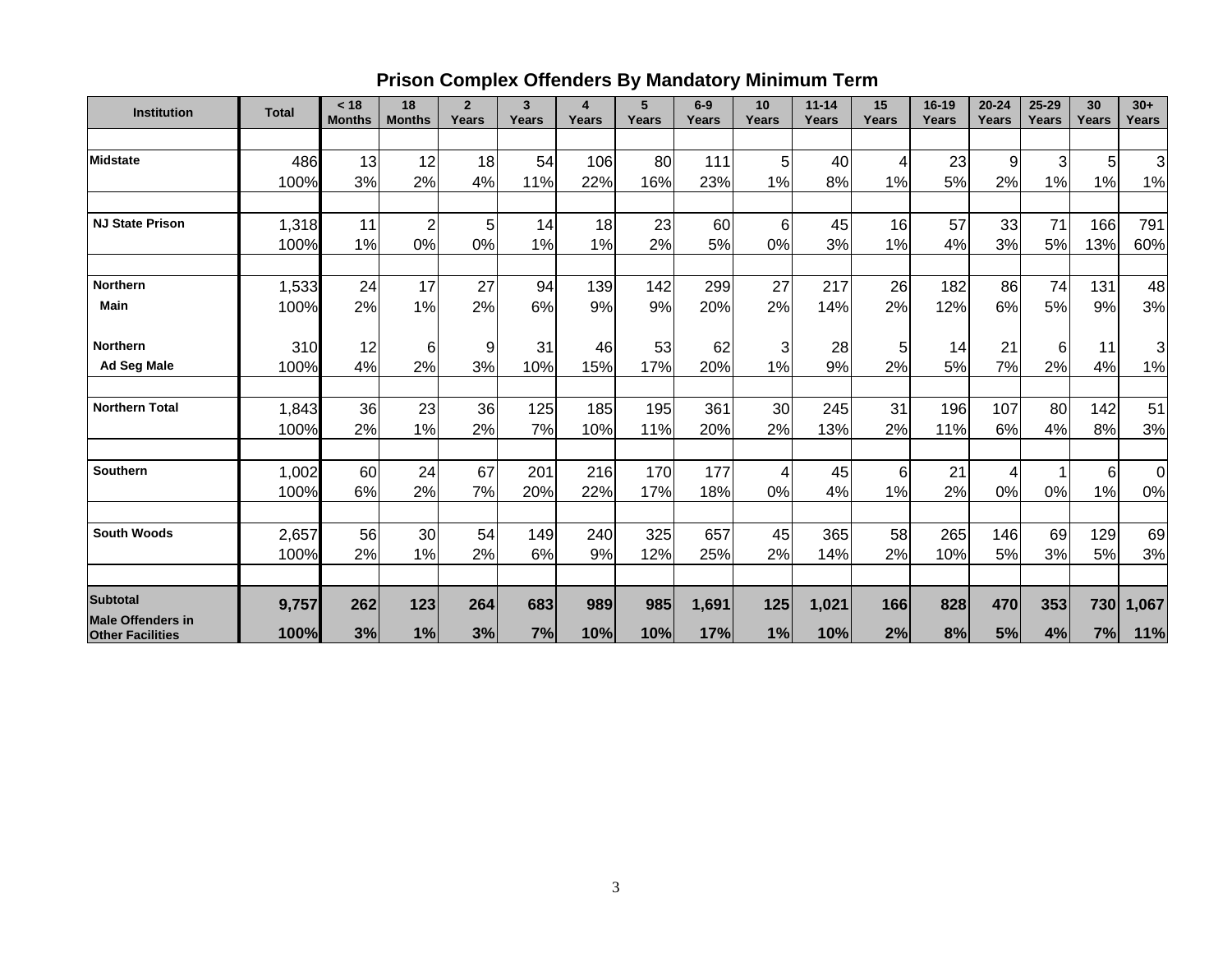# **Prison Complex Offenders By Mandatory Minimum Term**

| <b>Institution</b>                                  | <b>Total</b> | < 18<br><b>Months</b> | 18<br><b>Months</b> | $\overline{2}$<br>Years | $\overline{3}$<br>Years | 4<br>Years | 5<br>Years | $6-9$<br>Years | 10<br>Years | $11 - 14$<br>Years | 15<br>Years | 16-19<br>Years | $20 - 24$<br>Years | $25 - 29$<br>Years | 30<br>Years | $30+$<br><b>Years</b> |
|-----------------------------------------------------|--------------|-----------------------|---------------------|-------------------------|-------------------------|------------|------------|----------------|-------------|--------------------|-------------|----------------|--------------------|--------------------|-------------|-----------------------|
|                                                     |              |                       |                     |                         |                         |            |            |                |             |                    |             |                |                    |                    |             |                       |
| <b>Midstate</b>                                     | 486          | 13                    | 12                  | 18                      | 54                      | 106        | 80         | 111            | 5           | 40                 | 4           | 23             | 9                  | $\overline{3}$     | 5           | $\overline{3}$        |
|                                                     | 100%         | 3%                    | 2%                  | 4%                      | 11%                     | 22%        | 16%        | 23%            | 1%          | 8%                 | 1%          | 5%             | 2%                 | 1%                 | 1%          | 1%                    |
| <b>NJ State Prison</b>                              | 1,318        | 11                    | $\overline{2}$      | 5                       | 14                      | 18         | 23         | 60             | 6           | 45                 | 16          | 57             | 33                 | 71                 | 166         | 791                   |
|                                                     | 100%         | 1%                    | 0%                  | 0%                      | 1%                      | 1%         | 2%         | 5%             | 0%          | 3%                 | 1%          | 4%             | 3%                 | 5%                 | 13%         | 60%                   |
| <b>Northern</b>                                     | 1,533        | 24                    | 17                  | 27                      | 94                      | 139        | 142        | 299            | 27          | 217                | 26          | 182            | 86                 | 74                 | 131         | 48                    |
| <b>Main</b>                                         | 100%         | 2%                    | 1%                  | 2%                      | 6%                      | 9%         | 9%         | 20%            | 2%          | 14%                | 2%          | 12%            | 6%                 | 5%                 | 9%          | 3%                    |
| <b>Northern</b>                                     | 310          | 12                    | 6                   | 9                       | 31                      | 46         | 53         | 62             | 3           | 28                 | 5           | 14             | 21                 | 6                  | 11          | $\overline{3}$        |
| <b>Ad Seg Male</b>                                  | 100%         | 4%                    | 2%                  | 3%                      | 10%                     | 15%        | 17%        | 20%            | 1%          | 9%                 | 2%          | 5%             | 7%                 | 2%                 | 4%          | 1%                    |
| <b>Northern Total</b>                               | 1,843        | 36                    | 23                  | 36                      | 125                     | 185        | 195        | 361            | 30          | 245                | 31          | 196            | 107                | 80                 | 142         | 51                    |
|                                                     | 100%         | 2%                    | 1%                  | 2%                      | 7%                      | 10%        | 11%        | 20%            | 2%          | 13%                | 2%          | 11%            | 6%                 | 4%                 | 8%          | 3%                    |
| <b>Southern</b>                                     | 1,002        | 60                    | 24                  | 67                      | 201                     | 216        | 170        | 177            | 4           | 45                 | 6           | 21             | 4                  |                    | $6 \mid$    | $\overline{0}$        |
|                                                     | 100%         | 6%                    | 2%                  | 7%                      | 20%                     | 22%        | 17%        | 18%            | 0%          | 4%                 | 1%          | 2%             | 0%                 | 0%                 | 1%          | 0%                    |
| <b>South Woods</b>                                  | 2,657        | 56                    | 30                  | 54                      | 149                     | 240        | 325        | 657            | 45          | 365                | 58          | 265            | 146                | 69                 | 129         | 69                    |
|                                                     | 100%         | 2%                    | 1%                  | 2%                      | 6%                      | 9%         | 12%        | 25%            | 2%          | 14%                | 2%          | 10%            | 5%                 | 3%                 | 5%          | 3%                    |
| <b>Subtotal</b>                                     | 9,757        | 262                   | 123                 | 264                     | 683                     | 989        | 985        | 1,691          | 125         | 1,021              | 166         | 828            | 470                | 353                | 730         | 1,067                 |
| <b>Male Offenders in</b><br><b>Other Facilities</b> | 100%         | 3%                    | 1%                  | 3%                      | 7%                      | 10%        | 10%        | 17%            | 1%          | 10%                | 2%          | 8%             | 5%                 | 4%                 | 7%          | 11%                   |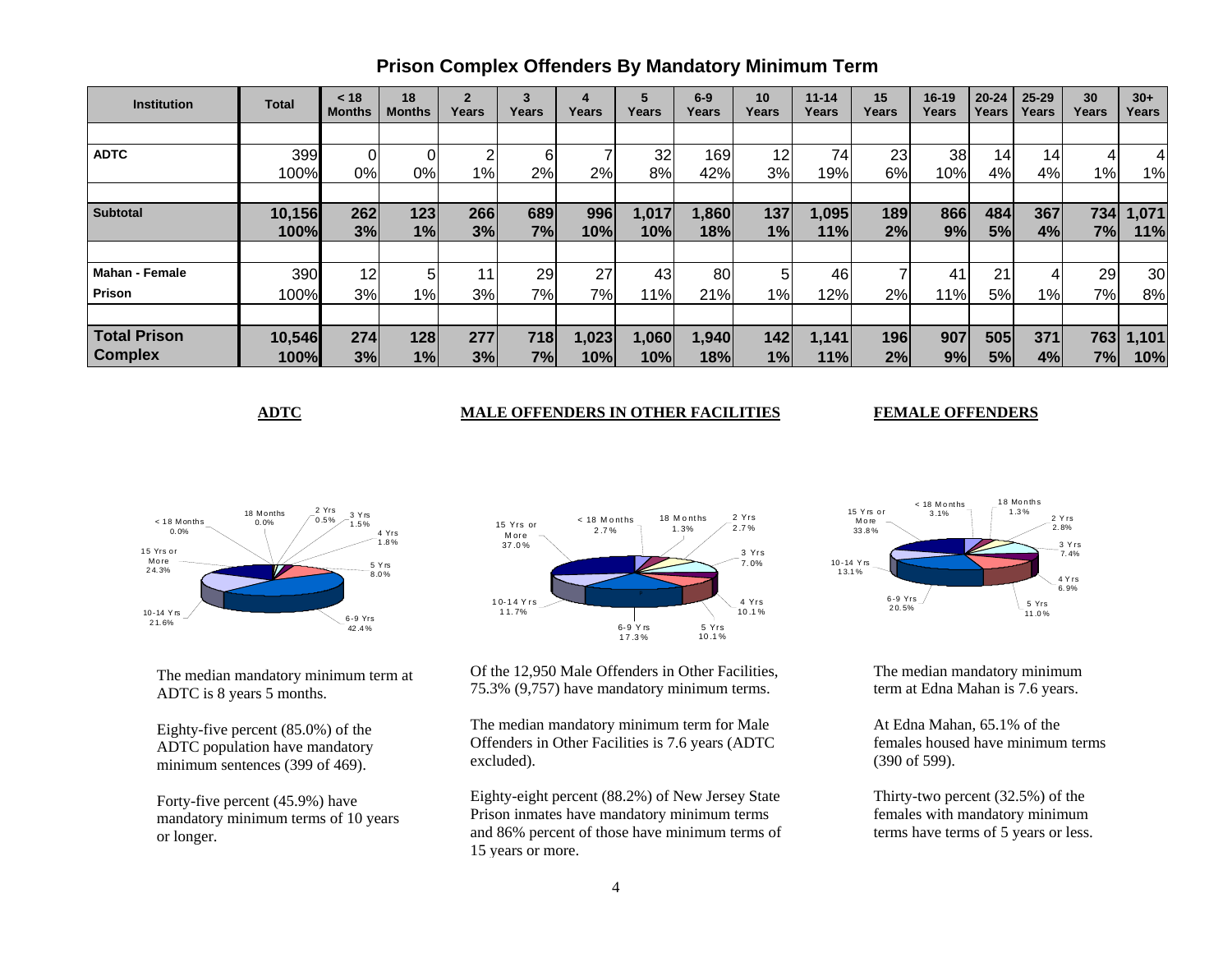| <b>Institution</b>    | <b>Total</b> | < 18<br><b>Months</b> | 18<br><b>Months</b> | $\overline{2}$<br>Years | 3<br>Years      | 4<br>Years | 5<br>Years | $6-9$<br>Years | 10<br>Years | $11 - 14$<br>Years | 15<br>Years | $16 - 19$<br>Years | $20 - 24$<br>Years | $25 - 29$<br>Years | 30<br>Years | $30+$<br>Years |
|-----------------------|--------------|-----------------------|---------------------|-------------------------|-----------------|------------|------------|----------------|-------------|--------------------|-------------|--------------------|--------------------|--------------------|-------------|----------------|
|                       |              |                       |                     |                         |                 |            |            |                |             |                    |             |                    |                    |                    |             |                |
| <b>ADTC</b>           | 399          |                       |                     | ົ                       |                 |            | 32         | 169            | 12          | 74                 | 23          | 38                 | 14 <sub>1</sub>    | 14                 |             |                |
|                       | 100%         | 0%                    | 0%                  | $1\%$                   | 2%              | 2%         | 8%         | 42%            | 3%          | 19%                | 6%          | 10%                | 4%                 | 4%                 | $1\%$       | 1%             |
|                       |              |                       |                     |                         |                 |            |            |                |             |                    |             |                    |                    |                    |             |                |
| <b>Subtotal</b>       | 10,156       | 262                   | $123$               | 266                     | 689             | 996        | 1,017      | 1,860          | 137         | 1,095              | 189         | 866                | 484                | 367                | 734         | 1,071          |
|                       | <b>100%</b>  | 3%                    | 1%                  | 3%                      | 7%              | 10%        | 10%        | 18%            | 1%          | 11%                | 2%          | 9%                 | 5%                 | 4%                 | 7%          | 11%            |
|                       |              |                       |                     |                         |                 |            |            |                |             |                    |             |                    |                    |                    |             |                |
| <b>Mahan - Female</b> | 390          | 12                    |                     | 11                      | 29 <sub>1</sub> | 27         | 43         | 80             | 5           | 46                 |             | 41                 | 21                 |                    | 29          | 30             |
| Prison                | 100%         | 3%                    | 1%                  | 3%                      | 7%              | 7%         | 11%        | 21%            | $1\%$       | 12%                | 2%          | 11%                | 5%                 | 1%                 | 7%          | 8%             |
|                       |              |                       |                     |                         |                 |            |            |                |             |                    |             |                    |                    |                    |             |                |
| <b>Total Prison</b>   | 10,546       | 274                   | 128                 | 277                     | 718             | 1,023      | 1,060      | 1,940          | 142         | 1,141              | 196         | 907                | 505                | 371                | 763         | 1,101          |
| <b>Complex</b>        | 100%         | 3%                    | 1%                  | 3%                      | 7%              | 10%        | 10%        | 18%            | 1%          | 11%                | 2%          | 9%                 | 5%                 | 4%                 | 7%          | 10%            |

### **Prison Complex Offenders By Mandatory Minimum Term**

#### **ADTC MALE OFFENDERS IN OTHER FACILITIES**

#### **FEMALE OFFENDERS**



The median mandatory minimum term at ADTC is 8 years 5 months.

Eighty-five percent (85.0%) of the ADTC population have mandatory minimum sentences (399 of 469).

Forty-five percent (45.9%) have mandatory minimum terms of 10 years or longer.



Of the 12,950 Male Offenders in Other Facilities, 75.3% (9,757) have mandatory minimum terms.

The median mandatory minimum term for Male Offenders in Other Facilities is 7.6 years (ADTC excluded).

Eighty-eight percent (88.2%) of New Jersey State Prison inmates have mandatory minimum terms and 86% percent of those have minimum terms of 15 years or more.



The median mandatory minimum term at Edna Mahan is 7.6 years.

At Edna Mahan, 65.1% of the females housed have minimum terms (390 of 599).

Thirty-two percent (32.5%) of the females with mandatory minimum terms have terms of 5 years or less.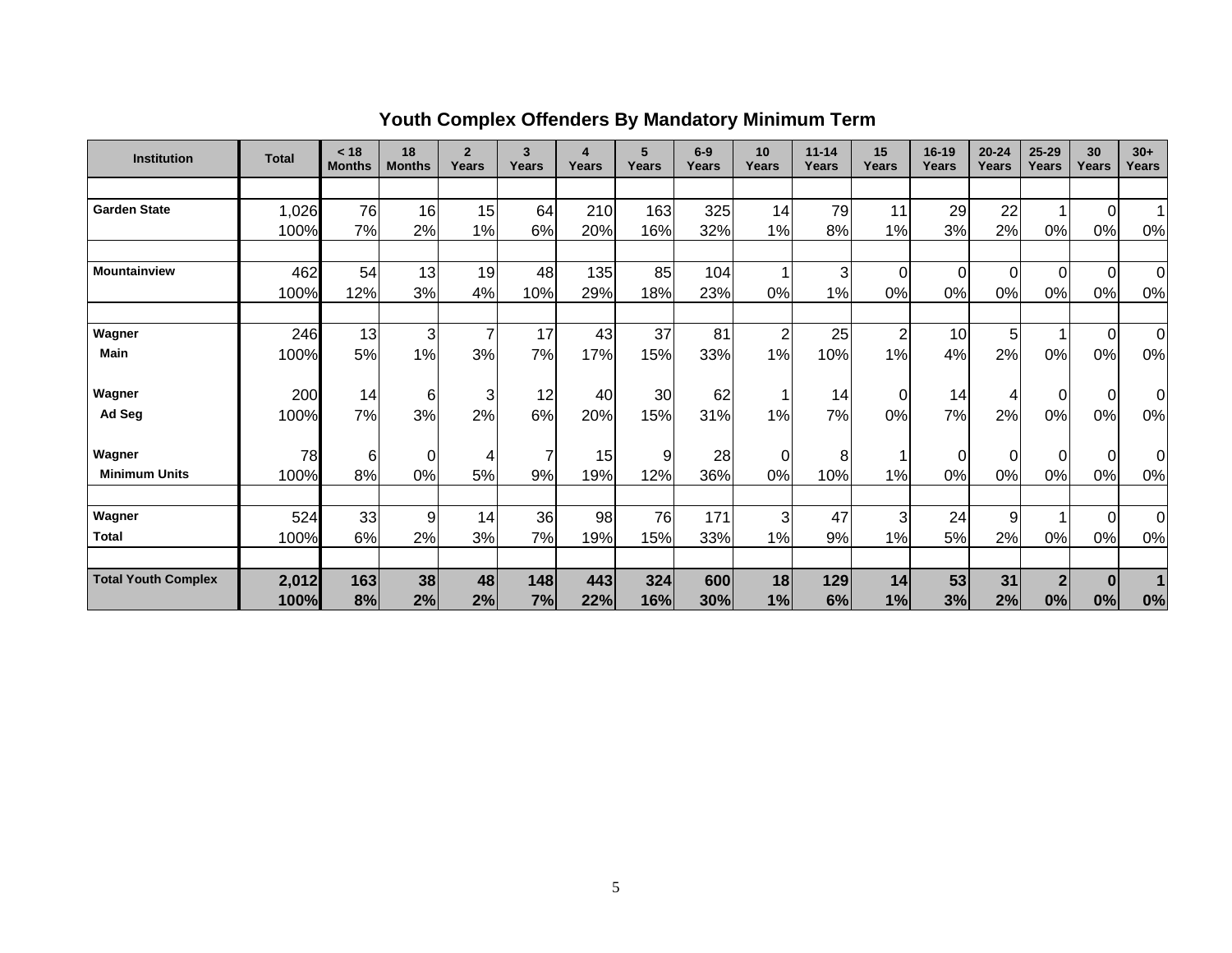| <b>Institution</b>         | <b>Total</b> | < 18<br><b>Months</b> | 18<br><b>Months</b> | $\overline{2}$<br>Years | $\overline{3}$<br>Years | 4<br>Years | 5<br>Years | $6-9$<br>Years | 10<br>Years    | $11 - 14$<br>Years | 15<br>Years    | $16-19$<br>Years | $20 - 24$<br>Years | $25 - 29$<br>Years | 30<br>Years    | $30+$<br>Years |
|----------------------------|--------------|-----------------------|---------------------|-------------------------|-------------------------|------------|------------|----------------|----------------|--------------------|----------------|------------------|--------------------|--------------------|----------------|----------------|
|                            |              |                       |                     |                         |                         |            |            |                |                |                    |                |                  |                    |                    |                |                |
| <b>Garden State</b>        | 1,026        | 76                    | 16                  | 15                      | 64                      | 210        | 163        | 325            | 14             | 79                 | 11             | 29               | 22                 |                    | $\Omega$       |                |
|                            | 100%         | 7%                    | 2%                  | 1%                      | 6%                      | 20%        | 16%        | 32%            | 1%             | 8%                 | 1%             | 3%               | 2%                 | 0%                 | 0%             | 0%             |
|                            |              |                       |                     |                         |                         |            |            |                |                |                    |                |                  |                    |                    |                |                |
| Mountainview               | 462          | 54                    | 13                  | 19                      | 48                      | 135        | 85         | 104            | 1              | 3                  | $\Omega$       | $\mathbf 0$      | $\Omega$           | $\Omega$           | $\overline{0}$ | $\overline{0}$ |
|                            | 100%         | 12%                   | 3%                  | 4%                      | 10%                     | 29%        | 18%        | 23%            | 0%             | 1%                 | 0%             | 0%               | 0%                 | 0%                 | 0%             | 0%             |
|                            |              |                       |                     |                         |                         |            |            |                |                |                    |                |                  |                    |                    |                |                |
| Wagner                     | 246          | 13                    | 3                   | $\overline{7}$          | 17                      | 43         | 37         | 81             | $\overline{2}$ | 25                 | $\overline{2}$ | 10               | 5                  |                    | $\Omega$       | 0              |
| <b>Main</b>                | 100%         | 5%                    | 1%                  | 3%                      | 7%                      | 17%        | 15%        | 33%            | 1%             | 10%                | 1%             | 4%               | 2%                 | 0%                 | 0%             | 0%             |
|                            |              |                       |                     |                         |                         |            |            |                |                |                    |                |                  |                    |                    |                |                |
| Wagner                     | 200          | 14                    | 6                   | 3                       | 12                      | 40         | 30         | 62             |                | 14                 | 0              | 14               | 4                  | $\Omega$           | $\mathbf 0$    | 0              |
| Ad Seg                     | 100%         | 7%                    | 3%                  | 2%                      | 6%                      | 20%        | 15%        | 31%            | 1%             | 7%                 | 0%             | 7%               | 2%                 | 0%                 | 0%             | 0%             |
| Wagner                     | 78           | 6                     | $\Omega$            |                         | 7                       | 15         | 9          | 28             |                |                    |                |                  | $\Omega$           | $\Omega$           | $\Omega$       |                |
| <b>Minimum Units</b>       |              |                       |                     |                         |                         |            |            |                | 0              | 8                  |                | 0                |                    |                    |                | 0              |
|                            | 100%         | 8%                    | 0%                  | 5%                      | 9%                      | 19%        | 12%        | 36%            | 0%             | 10%                | 1%             | 0%               | 0%                 | 0%                 | 0%             | 0%             |
| Wagner                     | 524          | 33                    | 9                   | 14                      | 36                      | 98         | 76         | 171            | 3              | 47                 | 3              | 24               | 9                  |                    | $\overline{0}$ | $\overline{0}$ |
| <b>Total</b>               | 100%         | 6%                    | 2%                  | 3%                      | 7%                      | 19%        | 15%        | 33%            | 1%             | 9%                 | 1%             | 5%               | 2%                 | 0%                 | 0%             | 0%             |
|                            |              |                       |                     |                         |                         |            |            |                |                |                    |                |                  |                    |                    |                |                |
| <b>Total Youth Complex</b> | 2,012        | 163                   | 38                  | 48                      | 148                     | 443        | 324        | 600            | 18             | 129                | 14             | 53               | 31                 | $\mathbf{2}$       | $\bf{0}$       |                |
|                            | 100%         | 8%                    | 2%                  | 2%                      | 7%                      | 22%        | 16%        | 30%            | 1%             | 6%                 | 1%             | 3%               | 2%                 | 0%                 | 0%             | 0%             |

# **Youth Complex Offenders By Mandatory Minimum Term**